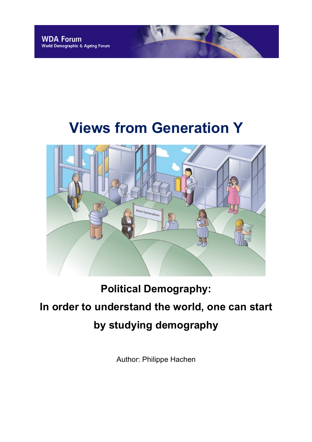# **Views from Generation Y**



### **Political Demography:**

## **In order to understand the world, one can start by studying demography**

Author: Philippe Hachen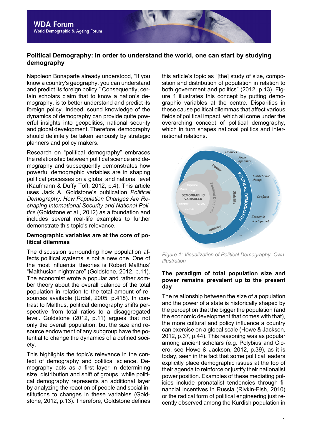#### **Political Demography: In order to understand the world, one can start by studying demography**

Napoleon Bonaparte already understood, "If you know a country's geography, you can understand and predict its foreign policy." Consequently, certain scholars claim that to know a nation's demography, is to better understand and predict its foreign policy. Indeed, sound knowledge of the dynamics of demography can provide quite powerful insights into geopolitics, national security and global development. Therefore, demography should definitely be taken seriously by strategic planners and policy makers.

Research on "political demography" embraces the relationship between political science and demography and subsequently demonstrates how powerful demographic variables are in shaping political processes on a global and national level (Kaufmann & Duffy Toft, 2012, p.4). This article uses Jack A. Goldstone's publication *Political Demography: How Population Changes Are Reshaping International Security and National Politics* (Goldstone et al., 2012) as a foundation and includes several real-life examples to further demonstrate this topic's relevance.

#### **Demographic variables are at the core of political dilemmas**

The discussion surrounding how population affects political systems is not a new one. One of the most influential theories is Robert Malthus' "Malthusian nightmare" (Goldstone, 2012, p.11). The economist wrote a popular and rather somber theory about the overall balance of the total population in relation to the total amount of resources available (Urdal, 2005, p.418). In contrast to Malthus, political demography shifts perspective from total ratios to a disaggregated level. Goldstone (2012, p.11) argues that not only the overall population, but the size and resource endowment of any subgroup have the potential to change the dynamics of a defined society.

This highlights the topic's relevance in the context of demography and political science. Demography acts as a first layer in determining size, distribution and shift of groups, while political demography represents an additional layer by analyzing the reaction of people and social institutions to changes in these variables (Goldstone, 2012, p.13). Therefore, Goldstone defines this article's topic as "[the] study of size, composition and distribution of population in relation to both government and politics" (2012, p.13). Figure 1 illustrates this concept by putting demographic variables at the centre. Disparities in these cause political dilemmas that affect various fields of political impact, which all come under the overarching concept of political demography, which in turn shapes national politics and international relations.



*Figure 1: Visualization of Political Demography. Own Illustration*

#### **The paradigm of total population size and power remains prevalent up to the present day**

The relationship between the size of a population and the power of a state is historically shaped by the perception that the bigger the population (and the economic development that comes with that), the more cultural and policy influence a country can exercise on a global scale (Howe & Jackson, 2012, p.37, p.44). This reasoning was as popular among ancient scholars (e.g. Polybius and Cicero, see Howe & Jackson, 2012, p.39), as it is today, seen in the fact that some political leaders explicitly place demographic issues at the top of their agenda to reinforce or justify their nationalist power position. Examples of these mediating policies include pronatalist tendencies through financial incentives in Russia (Rivkin-Fish, 2010) or the radical form of political engineering just recently observed among the Kurdish population in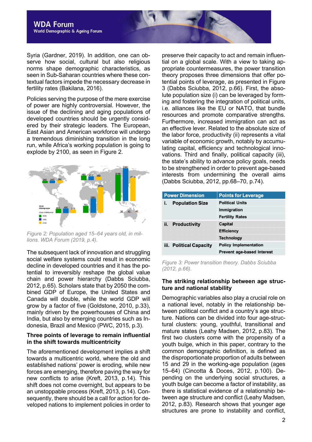Syria (Gardner, 2019). In addition, one can observe how social, cultural but also religious norms shape demographic characteristics, as seen in Sub-Saharan countries where these contextual factors impede the necessary decrease in fertility rates (Bakilana, 2016).

Policies serving the purpose of the mere exercise of power are highly controversial. However, the issue of the declining and aging populations of developed countries should be urgently considered by their strategic leaders. The European, East Asian and American workforce will undergo a tremendous diminishing transition in the long run, while Africa's working population is going to explode by 2100, as seen in Figure 2.



*Figure 2: Population aged 15–64 years old, in millions. WDA Forum (2019, p.4).*

The subsequent lack of innovation and struggling social welfare systems could result in economic decline in developed countries and it has the potential to irreversibly reshape the global value chain and power hierarchy (Dabbs Sciubba, 2012, p.65). Scholars state that by 2050 the combined GDP of Europe, the United States and Canada will double, while the world GDP will grow by a factor of five (Goldstone, 2010, p.33), mainly driven by the powerhouses of China and India, but also by emerging countries such as Indonesia, Brazil and Mexico (PWC, 2015, p.3).

#### **Three points of leverage to remain influential in the shift towards multicentricity**

The aforementioned development implies a shift towards a multicentric world, where the old and established nations' power is eroding, while new forces are emerging, therefore paving the way for new conflicts to arise (Kreft, 2013, p.14). This shift does not come overnight, but appears to be an unstoppable process (Kreft, 2013, p.14). Consequently, there should be a call for action for developed nations to implement policies in order to preserve their capacity to act and remain influential on a global scale. With a view to taking appropriate countermeasures, the power transition theory proposes three dimensions that offer potential points of leverage, as presented in Figure 3 (Dabbs Sciubba, 2012, p.66). First, the absolute population size (i) can be leveraged by forming and fostering the integration of political units, i.e. alliances like the EU or NATO, that bundle resources and promote comparative strengths. Furthermore, increased immigration can act as an effective lever. Related to the absolute size of the labor force, productivity (ii) represents a vital variable of economic growth, notably by accumulating capital, efficiency and technological innovations. Third and finally, political capacity (iii), the state's ability to advance policy goals, needs to be strengthened in order to prevent age-based interests from undermining the overall aims (Dabbs Sciubba, 2012, pp.68–70, p.74).

| <b>Power Dimension</b>  | <b>Points for Leverage</b>        |
|-------------------------|-----------------------------------|
| <b>Population Size</b>  | <b>Political Units</b>            |
|                         | Immigration                       |
|                         | <b>Fertility Rates</b>            |
| ii. Productivity        | <b>Capital</b>                    |
|                         | <b>Efficiency</b>                 |
|                         | <b>Technology</b>                 |
| iii. Political Capacity | <b>Policy Implementation</b>      |
|                         | <b>Prevent age-based Interest</b> |

*Figure 3: Power transition theory. Dabbs Sciubba (2012, p.66).*

#### **The striking relationship between age structure and national stability**

Demographic variables also play a crucial role on a national level, notably in the relationship between political conflict and a country's age structure. Nations can be divided into four age-structural clusters: young, youthful, transitional and mature states (Leahy Madsen, 2012, p.83). The first two clusters come with the propensity of a youth bulge, which in this paper, contrary to the common demographic definition, is defined as the disproportionate proportion of adults between 15 and 29 in the working-age population (ages 15–64) (Cincotta & Doces, 2012, p.100). Depending on the underlying social structures, a youth bulge can become a factor of instability, as there is statistical evidence of a relationship between age structure and conflict (Leahy Madsen, 2012, p.83). Research shows that younger age structures are prone to instability and conflict,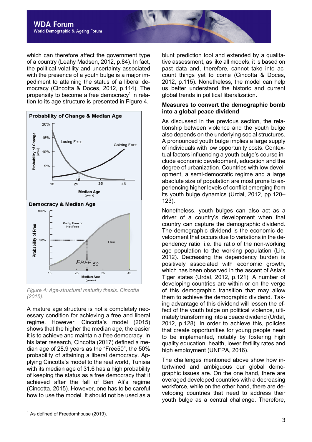

which can therefore affect the government type of a country (Leahy Madsen, 2012, p.84). In fact, the political volatility and uncertainty associated with the presence of a youth bulge is a major impediment to attaining the status of a liberal democracy (Cincotta & Doces, 2012, p.114). The propensity to become a free democracy<sup>1</sup> in relation to its age structure is presented in Figure 4.



*Figure 4: Age-structural maturity thesis. Cincotta (2015).*

A mature age structure is not a completely necessary condition for achieving a free and liberal regime. However, Cincotta's model (2015) shows that the higher the median age, the easier it is to achieve and maintain a free democracy. In his later research, Cincotta (2017) defined a median age of 28.9 years as the "Free50", the 50% probability of attaining a liberal democracy. Applying Cincotta's model to the real world, Tunisia with its median age of 31.6 has a high probability of keeping the status as a free democracy that it achieved after the fall of Ben Ali's regime (Cincotta, 2015). However, one has to be careful how to use the model. It should not be used as a blunt prediction tool and extended by a qualitative assessment, as like all models, it is based on past data and, therefore, cannot take into account things yet to come (Cincotta & Doces, 2012, p.115). Nonetheless, the model can help us better understand the historic and current global trends in political liberalization.

#### **Measures to convert the demographic bomb into a global peace dividend**

As discussed in the previous section, the relationship between violence and the youth bulge also depends on the underlying social structures. A pronounced youth bulge implies a large supply of individuals with low opportunity costs. Contextual factors influencing a youth bulge's course include economic development, education and the degree of urbanization. Countries with low development, a semi-democratic regime and a large absolute size of population are most prone to experiencing higher levels of conflict emerging from its youth bulge dynamics (Urdal, 2012, pp.120– 123).

Nonetheless, youth bulges can also act as a driver of a country's development when that country can capture the demographic dividend. The demographic dividend is the economic development that occurs due to variations in the dependency ratio, i.e. the ratio of the non-working age population to the working population (Lin, 2012). Decreasing the dependency burden is positively associated with economic growth, which has been observed in the ascent of Asia's Tiger states (Urdal, 2012, p.121). A number of developing countries are within or on the verge of this demographic transition that may allow them to achieve the demographic dividend. Taking advantage of this dividend will lessen the effect of the youth bulge on political violence, ultimately transforming into a peace dividend (Urdal, 2012, p.128). In order to achieve this, policies that create opportunities for young people need to be implemented, notably by fostering high quality education, health, lower fertility rates and high employment (UNFPA, 2016).

The challenges mentioned above show how intertwined and ambiguous our global demographic issues are. On the one hand, there are overaged developed countries with a decreasing workforce, while on the other hand, there are developing countries that need to address their youth bulge as a central challenge. Therefore,

 $1$  As defined of Freedomhouse (2019).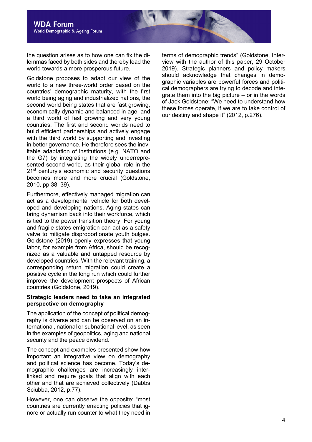the question arises as to how one can fix the dilemmas faced by both sides and thereby lead the world towards a more prosperous future.

Goldstone proposes to adapt our view of the world to a new three-world order based on the countries' demographic maturity, with the first world being aging and industrialized nations, the second world being states that are fast growing, economically dynamic and balanced in age, and a third world of fast growing and very young countries. The first and second worlds need to build efficient partnerships and actively engage with the third world by supporting and investing in better governance. He therefore sees the inevitable adaptation of institutions (e.g. NATO and the G7) by integrating the widely underrepresented second world, as their global role in the 21<sup>st</sup> century's economic and security questions becomes more and more crucial (Goldstone, 2010, pp.38–39).

Furthermore, effectively managed migration can act as a developmental vehicle for both developed and developing nations. Aging states can bring dynamism back into their workforce, which is tied to the power transition theory. For young and fragile states emigration can act as a safety valve to mitigate disproportionate youth bulges. Goldstone (2019) openly expresses that young labor, for example from Africa, should be recognized as a valuable and untapped resource by developed countries. With the relevant training, a corresponding return migration could create a positive cycle in the long run which could further improve the development prospects of African countries (Goldstone, 2019).

#### **Strategic leaders need to take an integrated perspective on demography**

The application of the concept of political demography is diverse and can be observed on an international, national or subnational level, as seen in the examples of geopolitics, aging and national security and the peace dividend.

The concept and examples presented show how important an integrative view on demography and political science has become. Today's demographic challenges are increasingly interlinked and require goals that align with each other and that are achieved collectively (Dabbs Sciubba, 2012, p.77).

However, one can observe the opposite: "most countries are currently enacting policies that ignore or actually run counter to what they need in

terms of demographic trends" (Goldstone, Interview with the author of this paper, 29 October 2019). Strategic planners and policy makers should acknowledge that changes in demographic variables are powerful forces and political demographers are trying to decode and integrate them into the big picture – or in the words of Jack Goldstone: "We need to understand how these forces operate, if we are to take control of our destiny and shape it" (2012, p.276).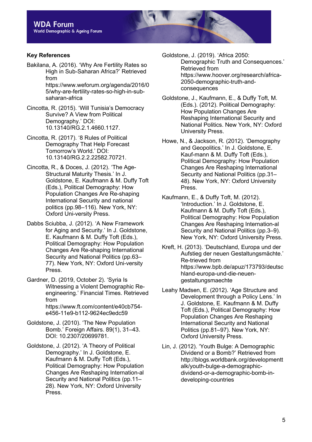#### **Key References**

- Bakilana, A. (2016). 'Why Are Fertility Rates so High in Sub-Saharan Africa?' Retrieved from https://www.weforum.org/agenda/2016/0 5/why-are-fertility-rates-so-high-in-subsaharan-africa
- Cincotta, R. (2015). 'Will Tunisia's Democracy Survive? A View from Political Demography.' DOI: 10.13140/RG.2.1.4660.1127.
- Cincotta, R. (2017). '8 Rules of Political Demography That Help Forecast Tomorrow's World.' DOI: 10.13140/RG.2.2.22582.70721.
- Cincotta, R., & Doces, J. (2012). 'The Age-Structural Maturity Thesis.' In J. Goldstone, E. Kaufmann & M. Duffy Toft (Eds.), Political Demography: How Population Changes Are Re-shaping International Security and national politics (pp.98–116). New York, NY: Oxford Uni-versity Press.
- Dabbs Sciubba, J. (2012). 'A New Framework for Aging and Security.' In J. Goldstone, E. Kaufmann & M. Duffy Toft (Eds.), Political Demography: How Population Changes Are Re-shaping International Security and National Politics (pp.63– 77). New York, NY: Oxford Uni-versity Press.
- Gardner, D. (2019, October 2). 'Syria Is Witnessing a Violent Demographic Reengineering.' Financial Times. Retrieved from https://www.ft.com/content/e40cb754 e456-11e9-b112-9624ec9edc59
- Goldstone, J. (2010). 'The New Population Bomb.' Foreign Affairs. 89(1), 31–43. DOI: 10.2307/20699781.
- Goldstone, J. (2012). 'A Theory of Political Demography.' In J. Goldstone, E. Kaufmann & M. Duffy Toft (Eds.), Political Demography: How Population Changes Are Reshaping Internation-al Security and National Politics (pp.11– 28). New York, NY: Oxford University Press.

Goldstone, J. (2019). 'Africa 2050: Demographic Truth and Consequences.' Retrieved from https://www.hoover.org/research/africa-2050-demographic-truth-andconsequences

- Goldstone, J., Kaufmann, E., & Duffy Toft, M. (Eds.). (2012). Political Demography: How Population Changes Are Reshaping International Security and National Politics. New York, NY: Oxford University Press.
- Howe, N., & Jackson, R. (2012). 'Demography and Geopolitics.' In J. Goldstone, E. Kauf-mann & M. Duffy Toft (Eds.), Political Demography: How Population Changes Are Reshaping International Security and National Politics (pp.31– 48). New York, NY: Oxford University Press.
- Kaufmann, E., & Duffy Toft, M. (2012). 'Introduction.' In J. Goldstone, E. Kaufmann & M. Duffy Toft (Eds.), Political Demography: How Population Changes Are Reshaping Internation-al Security and National Politics (pp.3–9). New York, NY: Oxford University Press.
- Kreft, H. (2013). 'Deutschland, Europa und der Aufstieg der neuen Gestaltungsmächte.' Re-trieved from https://www.bpb.de/apuz/173793/deutsc hland-europa-und-die-neuengestaltungsmaechte
- Leahy Madsen, E. (2012). 'Age Structure and Development through a Policy Lens.' In J. Goldstone, E. Kaufmann & M. Duffy Toft (Eds.), Political Demography: How Population Changes Are Reshaping International Security and National Politics (pp.81–97). New York, NY: Oxford University Press.
- Lin, J. (2012). 'Youth Bulge: A Demographic Dividend or a Bomb?' Retrieved from http://blogs.worldbank.org/developmentt alk/youth-bulge-a-demographicdividend-or-a-demographic-bomb-indeveloping-countries